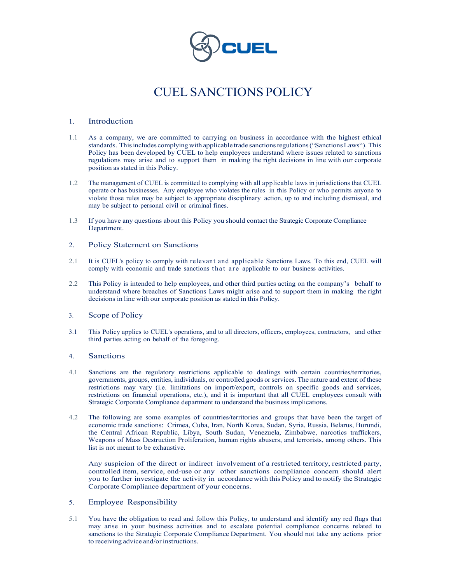

# CUEL SANCTIONS POLICY

#### 1. Introduction

- 1.1 As a company, we are committed to carrying on business in accordance with the highest ethical standards. This includes complying with applicable trade sanctions regulations ("Sanctions Laws"). This Policy has been developed by CUEL to help employees understand where issues related to sanctions regulations may arise and to support them in making the right decisions in line with our corporate position as stated in this Policy.
- 1.2 The management of CUEL is committed to complying with all applicable laws in jurisdictions that CUEL operate or has businesses. Any employee who violates the rules in this Policy or who permits anyone to violate those rules may be subject to appropriate disciplinary action, up to and including dismissal, and may be subject to personal civil or criminal fines.
- 1.3 If you have any questions about this Policy you should contact the Strategic Corporate Compliance Department.

#### 2. Policy Statement on Sanctions

- 2.1 It is CUEL's policy to comply with relevant and applicable Sanctions Laws. To this end, CUEL will comply with economic and trade sanctions that are applicable to our business activities.
- 2.2 This Policy is intended to help employees, and other third parties acting on the company's behalf to understand where breaches of Sanctions Laws might arise and to support them in making the right decisions in line with our corporate position as stated in this Policy.

#### 3. Scope of Policy

3.1 This Policy applies to CUEL's operations, and to all directors, officers, employees, contractors, and other third parties acting on behalf of the foregoing.

#### 4. Sanctions

- 4.1 Sanctions are the regulatory restrictions applicable to dealings with certain countries/territories, governments, groups, entities, individuals, or controlled goods or services. The nature and extent of these restrictions may vary (i.e. limitations on import/export, controls on specific goods and services, restrictions on financial operations, etc.), and it is important that all CUEL employees consult with Strategic Corporate Compliance department to understand the business implications.
- 4.2 The following are some examples of countries/territories and groups that have been the target of economic trade sanctions: Crimea, Cuba, Iran, North Korea, Sudan, Syria, Russia, Belarus, Burundi, the Central African Republic, Libya, South Sudan, Venezuela, Zimbabwe, narcotics traffickers, Weapons of Mass Destruction Proliferation, human rights abusers, and terrorists, among others. This list is not meant to be exhaustive.

Any suspicion of the direct or indirect involvement of a restricted territory, restricted party, controlled item, service, end-use or any other sanctions compliance concern should alert you to further investigate the activity in accordance with this Policy and to notify the Strategic Corporate Compliance department of your concerns.

## 5. Employee Responsibility

5.1 You have the obligation to read and follow this Policy, to understand and identify any red flags that may arise in your business activities and to escalate potential compliance concerns related to sanctions to the Strategic Corporate Compliance Department. You should not take any actions prior to receiving advice and/or instructions.